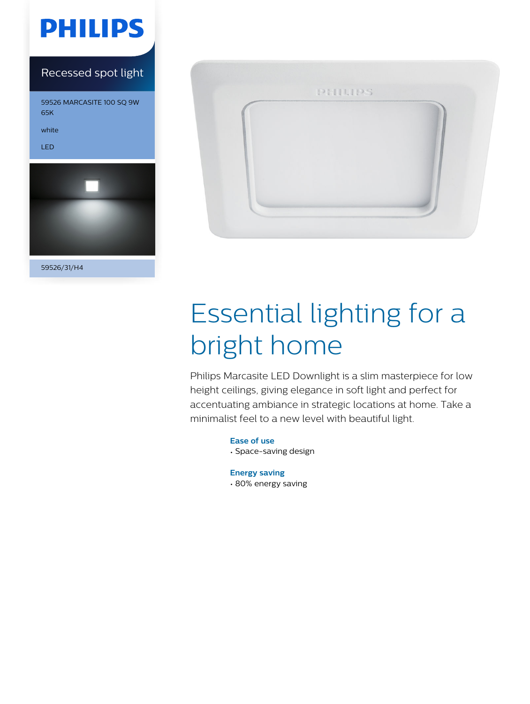

### Recessed spot light

59526 MARCASITE 100 SQ 9W 65K

white

LED



59526/31/H4



# Essential lighting for a bright home

Philips Marcasite LED Downlight is a slim masterpiece for low height ceilings, giving elegance in soft light and perfect for accentuating ambiance in strategic locations at home. Take a minimalist feel to a new level with beautiful light.

> **Ease of use** • Space-saving design

**Energy saving** • 80% energy saving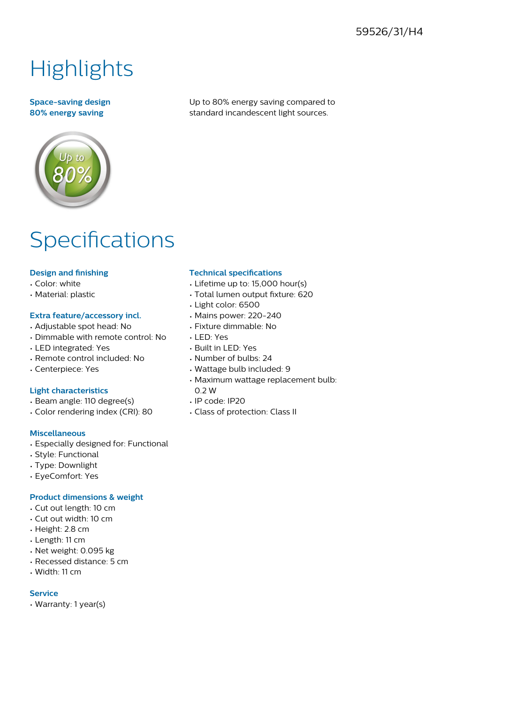### 59526/31/H4

# **Highlights**

#### **Space-saving design 80% energy saving**

Up to 80% energy saving compared to standard incandescent light sources.

## Specifications

#### **Design and finishing**

- Color: white
- Material: plastic

#### **Extra feature/accessory incl.**

- Adjustable spot head: No
- Dimmable with remote control: No
- LED integrated: Yes
- Remote control included: No
- Centerpiece: Yes

#### **Light characteristics**

- Beam angle: 110 degree(s)
- Color rendering index (CRI): 80

#### **Miscellaneous**

- Especially designed for: Functional
- Style: Functional
- Type: Downlight
- EyeComfort: Yes

#### **Product dimensions & weight**

- Cut out length: 10 cm
- Cut out width: 10 cm
- Height: 2.8 cm
- Length: 11 cm
- Net weight: 0.095 kg
- Recessed distance: 5 cm
- Width: 11 cm

#### **Service**

• Warranty: 1 year(s)

#### **Technical specifications**

- Lifetime up to: 15,000 hour(s)
- Total lumen output fixture: 620
- Light color: 6500
- Mains power: 220-240
- Fixture dimmable: No
- LED: Yes
- Built in LED: Yes
- Number of bulbs: 24
- Wattage bulb included: 9
- Maximum wattage replacement bulb: 0.2 W
- IP code: IP20
- Class of protection: Class II